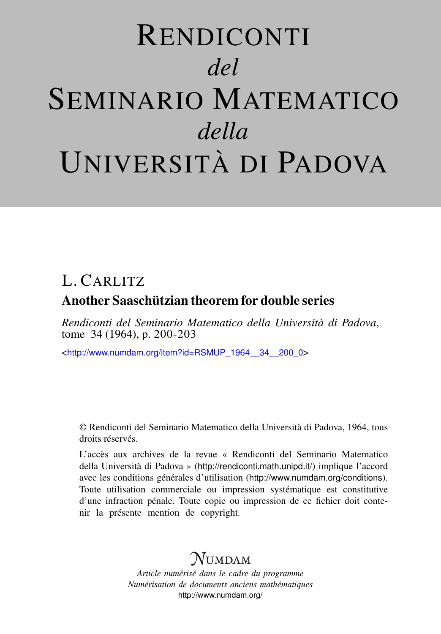# RENDICONTI *del* SEMINARIO MATEMATICO *della* UNIVERSITÀ DI PADOVA

## L. CARLITZ

### Another Saaschützian theorem for double series

*Rendiconti del Seminario Matematico della Università di Padova*, tome 34 (1964), p. 200-203

<[http://www.numdam.org/item?id=RSMUP\\_1964\\_\\_34\\_\\_200\\_0](http://www.numdam.org/item?id=RSMUP_1964__34__200_0)>

© Rendiconti del Seminario Matematico della Università di Padova, 1964, tous droits réservés.

L'accès aux archives de la revue « Rendiconti del Seminario Matematico della Università di Padova » (<http://rendiconti.math.unipd.it/>) implique l'accord avec les conditions générales d'utilisation (<http://www.numdam.org/conditions>). Toute utilisation commerciale ou impression systématique est constitutive d'une infraction pénale. Toute copie ou impression de ce fichier doit contenir la présente mention de copyright.

## $\mathcal N$ umdam

*Article numérisé dans le cadre du programme Numérisation de documents anciens mathématiques* <http://www.numdam.org/>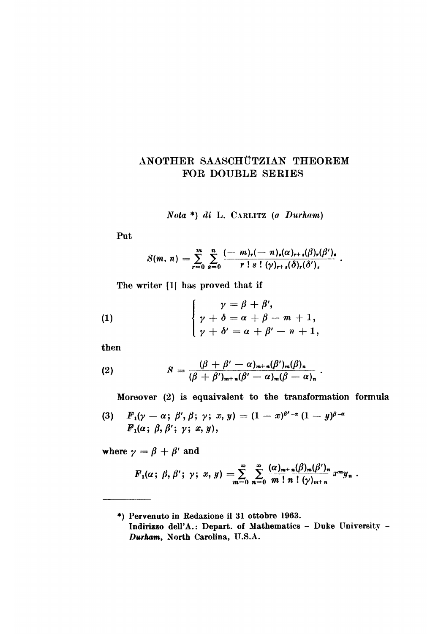#### ANOTHER SAASCHÜTZIAN THEOREM FOR DOUBLE SERIES

Nota \*) di L. CARLITZ (a

Put

$$
S(m, n) = \sum_{r=0}^{m} \sum_{s=0}^{n} \frac{(-m)_r(-n)_s(\alpha)_{r+s}(\beta)_r(\beta')_s}{r \, ! \, s \, ! \, (\gamma)_{r+s}(\delta)_r(\delta')_s}.
$$

The writer [1] has proved that if

(1) 
$$
\begin{cases} \gamma = \beta + \beta', \\ \gamma + \delta = \alpha + \beta - m + 1, \\ \gamma + \delta' = \alpha + \beta' - n + 1, \end{cases}
$$

then

(2) 
$$
S = \frac{(\beta + \beta' - \alpha)_{m+n}(\beta')_m(\beta)_n}{(\beta + \beta')_{m+n}(\beta' - \alpha)_m(\beta - \alpha)_n}
$$

Moreover (2) is equaivalent to the transformation formula

 $\ddot{\phantom{a}}$ 

(3) 
$$
F_1(\gamma-\alpha; \beta', \beta; \gamma; x, y) = (1-x)^{\beta'-\alpha} (1-y)^{\beta-\alpha}
$$

$$
F_1(\alpha; \beta, \beta'; \gamma; x, y),
$$

where  $\gamma = \beta + \beta'$  and

$$
F_1(\alpha\,;\,\beta,\beta'\,;\,\gamma\,;\,\alpha,\,y)=\sum_{m=0}^{\infty}\sum_{n=0}^{\infty}\frac{(\alpha)_{m+n}(\beta)_m(\beta')_n}{m!\,\,n\,!\,\,(\gamma)_{m+n}}x^my_n.
$$

<sup>\*)</sup> Pervenuto in Redazione il 31 ottobre 1963. Indirizzo dell'A.: Depart. of Mathematics - Duke University -Durham, North Carolina, U.S.A.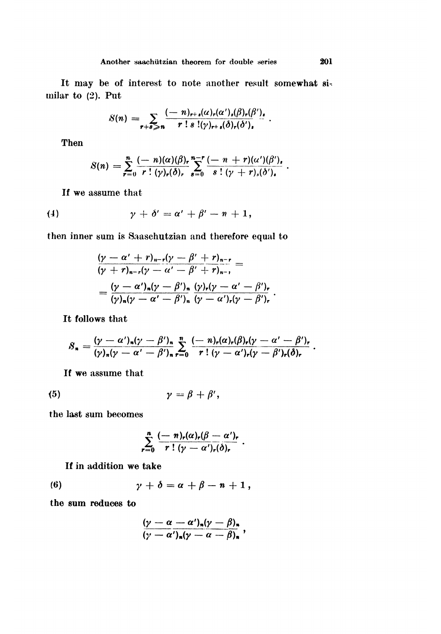It may be of interest to note another result somewhat similar to (2). Put

$$
S(n) = \sum_{r+s \geqslant n} \frac{(-n)_{r+s}(\alpha)_r(\alpha')_s(\beta)_r(\beta')_s}{r \; ! \; s \; !(\gamma)_{r+s}(\delta)_r(\delta')_s}.
$$

Then

$$
S(n) = \sum_{r=0}^{n} \frac{(-n)(\alpha)(\beta)_{r}}{r!(\gamma)_{r}(\delta)_{r}} \sum_{s=0}^{n-r} \frac{(-n+r)(\alpha')(\beta')_{s}}{s!(\gamma+r)_{s}(\delta')_{s}}.
$$

If we assume that

$$
\gamma + \delta' = \alpha' + \beta' - n + 1,
$$

then inner sum is Saaschutzian and therefore equal to

$$
\frac{(\gamma - \alpha' + r)_{n-r}(\gamma - \beta' + r)_{n-r}}{(\gamma + r)_{n-r}(\gamma - \alpha' - \beta' + r)_{n-r}} =
$$
  
= 
$$
\frac{(\gamma - \alpha')_n(\gamma - \beta')_n}{(\gamma)_n(\gamma - \alpha' - \beta')_n} \frac{(\gamma)_r(\gamma - \alpha' - \beta')_r}{(\gamma - \alpha')_r(\gamma - \beta')_r}.
$$

It follows that

$$
S_n = \frac{(\gamma - \alpha')_n(\gamma - \beta')_n}{(\gamma)_n(\gamma - \alpha' - \beta')_n} \sum_{r=0}^n \frac{(-n)_r(\alpha)_r(\beta)_r(\gamma - \alpha' - \beta')_r}{r!(\gamma - \alpha')_r(\gamma - \beta')_r(\delta)_r}.
$$

If we assume that

$$
\gamma = \beta + \beta',
$$

the last sum becomes

$$
\sum_{r=0}^n\frac{(-n)_r(\alpha)_r(\beta-\alpha')_r}{r!(\gamma-\alpha')_r(\delta)_r}.
$$

If in addition we take

(6) 
$$
\gamma + \delta = \alpha + \beta - n + 1,
$$

the sum reduces to

$$
\frac{(\gamma-\alpha-\alpha')_{n}(\gamma-\beta)_{n}}{(\gamma-\alpha')_{n}(\gamma-\alpha-\beta)_{n}},
$$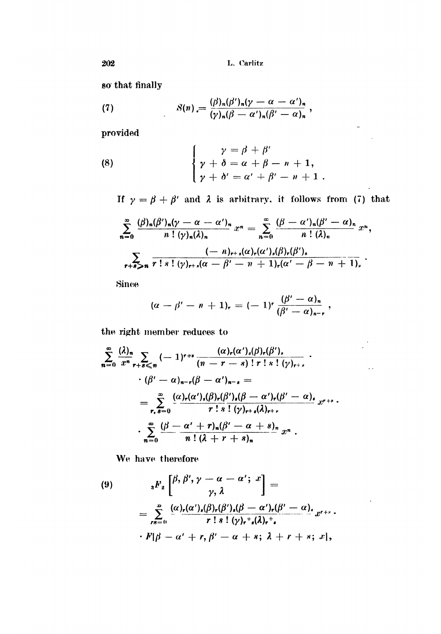so that finally

(7) 
$$
S(n) = \frac{(\beta)_n(\beta')_n(\gamma - \alpha - \alpha')_n}{(\gamma)_n(\beta - \alpha')_n(\beta' - \alpha)_n},
$$

provided

(8) 
$$
\begin{cases} \gamma = \beta + \beta' \\ \gamma + \delta = \alpha + \beta - n + 1, \\ \gamma + \delta' = \alpha' + \beta' - n + 1. \end{cases}
$$

If  $\gamma = \beta + \beta'$  and  $\lambda$  is arbitrary, it follows from (7) that

 $\frac{1}{\sqrt{2}}$ 

 $\bar{\epsilon}$  .

 $\cdot$ 

$$
\sum_{n=0}^{\infty} \frac{(\beta)_n (\beta')_n (\gamma - \alpha - \alpha')_n}{n! (\gamma)_n (\lambda)_n} x^n = \sum_{n=0}^{\infty} \frac{(\beta - \alpha')_n (\beta' - \alpha)_n}{n! (\lambda)_n} x^n,
$$
  

$$
\sum_{r+s > n} \frac{(-n)_{r+s} (\alpha)_r (\alpha')_s (\beta)_r (\beta')_s}{r! s! (\gamma)_{r+s} (\alpha - \beta' - n + 1)_r (\alpha' - \beta - n + 1)_s}.
$$

Since

$$
(\alpha - \beta' - n + 1)_r = (-1)^r \frac{(\beta' - \alpha)_n}{(\beta' - \alpha)_{n-r}},
$$

the right member reduces to

$$
\sum_{n=0}^{\infty} \frac{(\lambda)_n}{x^n} \sum_{r+s \leqslant n} (-1)^{r+s} \frac{(\alpha)_r (\alpha')_s (\beta)_r (\beta')_s}{(n-r-s)! r! s! (\gamma)_{r+s}} \cdot
$$
  

$$
\cdot (\beta' - \alpha)_{n-r} (\beta - \alpha')_{n-s} =
$$
  

$$
= \sum_{r,s=0}^{\infty} \frac{(\alpha)_r (\alpha')_s (\beta)_r (\beta')_s (\beta - \alpha')_r (\beta' - \alpha)_s}{r! s! (\gamma)_{r+s} (\lambda)_{r+s}} x^{r+s} \cdot
$$
  

$$
\cdot \sum_{n=0}^{\infty} \frac{(\beta - \alpha' + r)_n (\beta' - \alpha + s)_n}{n! (\lambda + r + s)_n} x^n .
$$

We have therefore

(9)  
\n
$$
{}_{s}F_{z}\left[\begin{matrix}\beta, \beta', \gamma-\alpha-\alpha'; x\\ \gamma, \lambda\end{matrix}\right]=
$$
\n
$$
=\sum_{rs=0}^{\infty}\frac{(\alpha)_{r}(\alpha')_{s}(\beta)_{r}(\beta')_{s}(\beta-\alpha')_{r}(\beta'-\alpha)_{s}}{r! s! (\gamma)_{r}^{+}{}_{s}(\lambda)_{r}^{+}{}_{s}}x^{r+s}.
$$
\n
$$
\cdot F|\beta-\alpha'+r, \beta'-\alpha+s; \lambda+r+s; x|,
$$

202